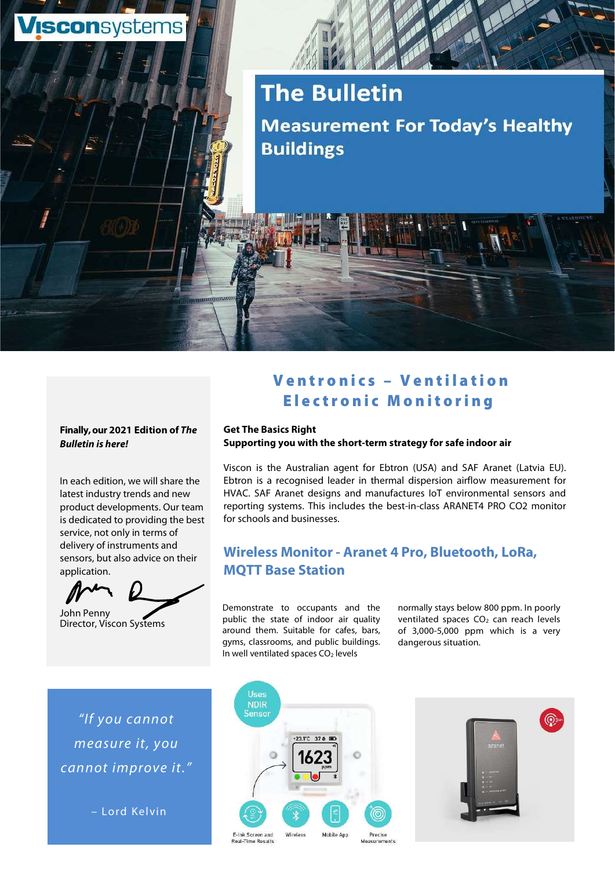

# **The Bulletin Measurement For Today's Healthy Buildings**

# Finally, our 2021 Edition of The Bulletin is here!

In each edition, we will share the latest industry trends and new product developments. Our team is dedicated to providing the best service, not only in terms of delivery of instruments and sensors, but also advice on their application.



John Penny Director, Viscon Systems

"If you cannot measure it, you cannot improve it."

– Lord Kelvi n

# Ventronics – Ventilation<br>Electronic Monitoring<br>Electronic Monitoring E leatronics – Ventilation<br>Electronic Monitoring<br>Electronic Monitoring<br>Es Right

#### Get The Basics Right Supporting you with the short-term strategy for safe indoor air

Viscon is the Australian agent for Ebtron (USA) and SAF Aranet (Latvia EU). Ebtron is a recognised leader in thermal dispersion airflow measurement for HVAC. SAF Aranet designs and manufactures IoT environmental sensors and reporting systems. This includes the best-in-class ARANET4 PRO CO2 monitor for schools and businesses.

# Wireless Monitor - Aranet 4 Pro, Bluetooth, LoRa, MQTT Base Station

Demonstrate to occupants and the public the state of indoor air quality around them. Suitable for cafes, bars, gyms, classrooms, and public buildings. In well ventilated spaces  $CO<sub>2</sub>$  levels

normally stays below 800 ppm. In poorly ventilated spaces CO<sub>2</sub> can reach levels of 3,000-5,000 ppm which is a very dangerous situation.